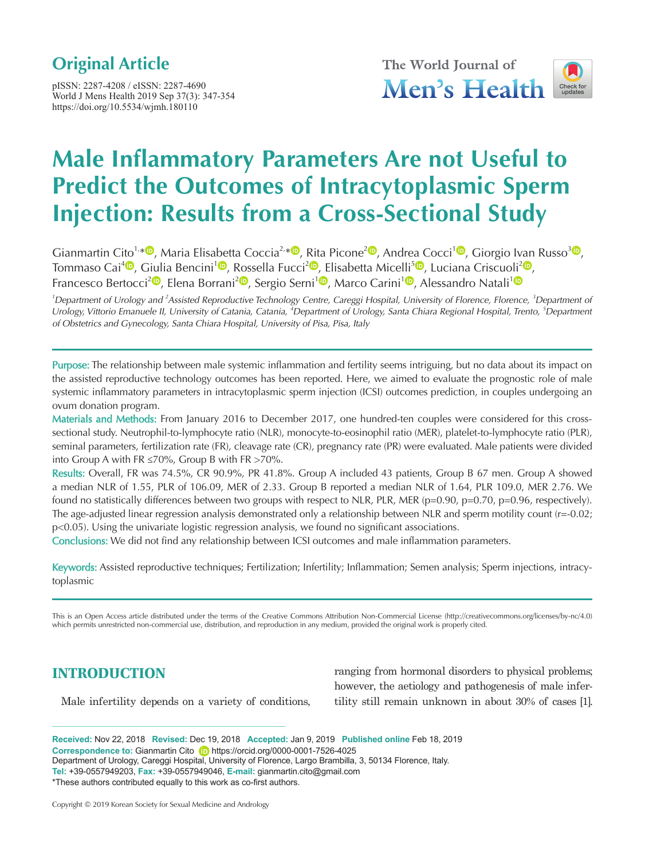# **Original Article**

pISSN: 2287-4208 / eISSN: 2287-4690 World J Mens Health 2019 Sep 37(3): 347-354 https://doi.org/10.5534/wjmh.180110



# **Male Inflammatory Parameters Are not Useful to Predict the Outcomes of Intracytoplasmic Sperm Injection: Results from a Cross-Sectional Study**

Gianmartin Cito<sup>1,[\\*](https://orcid.org/0000-0001-5294-129X) ®</sup>[,](https://orcid.org/0000-0003-3085-6769) Maria Elisabetta Coccia<sup>2,\* ®</sup>, Rita Picone<sup>2 ®</sup>, Andrea Cocci<sup>[1](https://orcid.org/0000-0003-0138-6294) ®</sup>, Giorgio Ivan Russo<sup>[3](https://orcid.org/0000-0003-1493-1087) ®</sup>, Tommaso Cai<sup>[4](https://orcid.org/0000-0002-7234-3526)</sup><sup>®</sup>[,](https://orcid.org/0000-0002-8510-8883) Giulia Bencini<sup>1</sup><sup>®</sup>, Rossella Fucci<sup>2</sup><sup>®</sup>, Elisabetta Micelli<sup>[5](https://orcid.org/0000-0002-1450-0810)</sup><sup>®</sup>, Luciana Criscuoli<sup>[2](https://orcid.org/0000-0002-1619-2065)</sup><sup>®</sup>, Francesco Bertocci<sup>2</sup><sup>®</sup>[,](https://orcid.org/0000-0002-4007-7542) Elena Borrani<sup>2</sup><sup>®</sup>, Sergio Serni<sup>[1](https://orcid.org/0000-0003-4456-7626)</sup><sup>®</sup>, Marco Carini<sup>1</sup><sup>®</sup>, Alessandro Natali<sup>1</sup><sup>®</sup>

<sup>1</sup>Department of Urology and <sup>2</sup>Assisted Reproductive Technology Centre, Careggi Hospital, University of Florence, Florence, <sup>3</sup>Department of Urology, Vittorio Emanuele II, University of Catania, Catania, <sup>4</sup>Department of Urology, Santa Chiara Regional Hospital, Trento, <sup>5</sup>Department of Obstetrics and Gynecology, Santa Chiara Hospital, University of Pisa, Pisa, Italy

Purpose: The relationship between male systemic inflammation and fertility seems intriguing, but no data about its impact on the assisted reproductive technology outcomes has been reported. Here, we aimed to evaluate the prognostic role of male systemic inflammatory parameters in intracytoplasmic sperm injection (ICSI) outcomes prediction, in couples undergoing an ovum donation program.

Materials and Methods: From January 2016 to December 2017, one hundred-ten couples were considered for this crosssectional study. Neutrophil-to-lymphocyte ratio (NLR), monocyte-to-eosinophil ratio (MER), platelet-to-lymphocyte ratio (PLR), seminal parameters, fertilization rate (FR), cleavage rate (CR), pregnancy rate (PR) were evaluated. Male patients were divided into Group A with FR ≤70%, Group B with FR >70%.

Results: Overall, FR was 74.5%, CR 90.9%, PR 41.8%. Group A included 43 patients, Group B 67 men. Group A showed a median NLR of 1.55, PLR of 106.09, MER of 2.33. Group B reported a median NLR of 1.64, PLR 109.0, MER 2.76. We found no statistically differences between two groups with respect to NLR, PLR, MER (p=0.90, p=0.70, p=0.96, respectively). The age-adjusted linear regression analysis demonstrated only a relationship between NLR and sperm motility count (r=-0.02; p<0.05). Using the univariate logistic regression analysis, we found no significant associations.

Conclusions: We did not find any relationship between ICSI outcomes and male inflammation parameters.

Keywords: Assisted reproductive techniques; Fertilization; Infertility; Inflammation; Semen analysis; Sperm injections, intracytoplasmic

This is an Open Access article distributed under the terms of the Creative Commons Attribution Non-Commercial License (http://creativecommons.org/licenses/by-nc/4.0) which permits unrestricted non-commercial use, distribution, and reproduction in any medium, provided the original work is properly cited.

# **INTRODUCTION**

Male infertility depends on a variety of conditions,

ranging from hormonal disorders to physical problems; however, the aetiology and pathogenesis of male infertility still remain unknown in about 30% of cases [1].

**Received:** Nov 22, 2018 **Revised:** Dec 19, 2018 **Accepted:** Jan 9, 2019 **Published online** Feb 18, 2019 **Correspondence to:** Gianmartin Cito https://orcid.org/0000-0001-7526-4025 Department of Urology, Careggi Hospital, University of Florence, Largo Brambilla, 3, 50134 Florence, Italy. **Tel:** +39-0557949203, **Fax:** +39-0557949046, **E-mail:** gianmartin.cito@gmail.com \*These authors contributed equally to this work as co-first authors.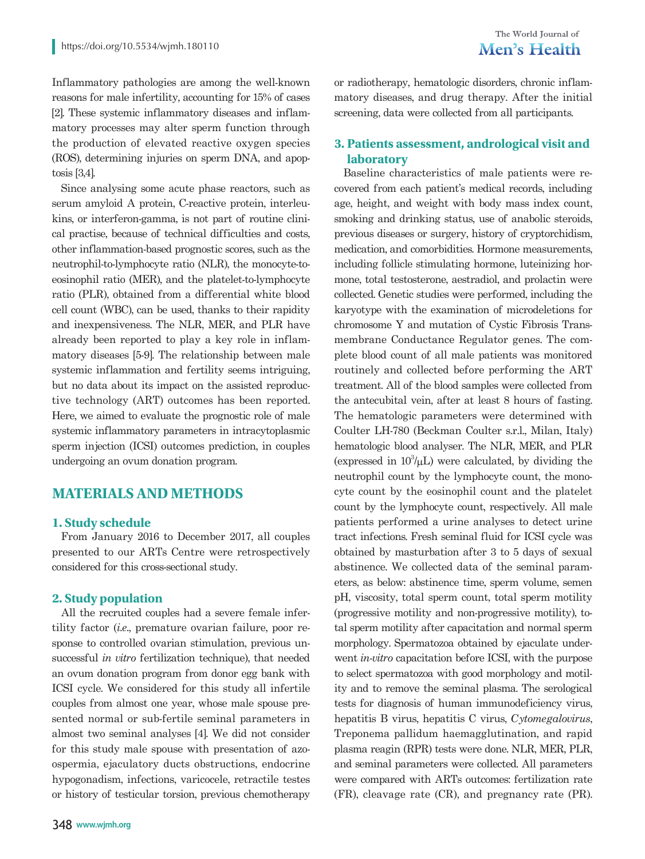Inflammatory pathologies are among the well-known reasons for male infertility, accounting for 15% of cases [2]. These systemic inflammatory diseases and inflammatory processes may alter sperm function through the production of elevated reactive oxygen species (ROS), determining injuries on sperm DNA, and apoptosis [3,4].

Since analysing some acute phase reactors, such as serum amyloid A protein, C-reactive protein, interleukins, or interferon-gamma, is not part of routine clinical practise, because of technical difficulties and costs, other inflammation-based prognostic scores, such as the neutrophil-to-lymphocyte ratio (NLR), the monocyte-toeosinophil ratio (MER), and the platelet-to-lymphocyte ratio (PLR), obtained from a differential white blood cell count (WBC), can be used, thanks to their rapidity and inexpensiveness. The NLR, MER, and PLR have already been reported to play a key role in inflammatory diseases [5-9]. The relationship between male systemic inflammation and fertility seems intriguing, but no data about its impact on the assisted reproductive technology (ART) outcomes has been reported. Here, we aimed to evaluate the prognostic role of male systemic inflammatory parameters in intracytoplasmic sperm injection (ICSI) outcomes prediction, in couples undergoing an ovum donation program.

# **MATERIALS AND METHODS**

#### **1. Study schedule**

From January 2016 to December 2017, all couples presented to our ARTs Centre were retrospectively considered for this cross-sectional study.

#### **2. Study population**

All the recruited couples had a severe female infertility factor (*i.e*., premature ovarian failure, poor response to controlled ovarian stimulation, previous unsuccessful *in vitro* fertilization technique), that needed an ovum donation program from donor egg bank with ICSI cycle. We considered for this study all infertile couples from almost one year, whose male spouse presented normal or sub-fertile seminal parameters in almost two seminal analyses [4]. We did not consider for this study male spouse with presentation of azoospermia, ejaculatory ducts obstructions, endocrine hypogonadism, infections, varicocele, retractile testes or history of testicular torsion, previous chemotherapy

348 **www.wjmh.org**

or radiotherapy, hematologic disorders, chronic inflammatory diseases, and drug therapy. After the initial screening, data were collected from all participants.

# **3. Patients assessment, andrological visit and laboratory**

Baseline characteristics of male patients were recovered from each patient's medical records, including age, height, and weight with body mass index count, smoking and drinking status, use of anabolic steroids, previous diseases or surgery, history of cryptorchidism, medication, and comorbidities. Hormone measurements, including follicle stimulating hormone, luteinizing hormone, total testosterone, aestradiol, and prolactin were collected. Genetic studies were performed, including the karyotype with the examination of microdeletions for chromosome Y and mutation of Cystic Fibrosis Transmembrane Conductance Regulator genes. The complete blood count of all male patients was monitored routinely and collected before performing the ART treatment. All of the blood samples were collected from the antecubital vein, after at least 8 hours of fasting. The hematologic parameters were determined with Coulter LH-780 (Beckman Coulter s.r.l., Milan, Italy) hematologic blood analyser. The NLR, MER, and PLR (expressed in  $10^3/\mu L$ ) were calculated, by dividing the neutrophil count by the lymphocyte count, the monocyte count by the eosinophil count and the platelet count by the lymphocyte count, respectively. All male patients performed a urine analyses to detect urine tract infections. Fresh seminal fluid for ICSI cycle was obtained by masturbation after 3 to 5 days of sexual abstinence. We collected data of the seminal parameters, as below: abstinence time, sperm volume, semen pH, viscosity, total sperm count, total sperm motility (progressive motility and non-progressive motility), total sperm motility after capacitation and normal sperm morphology. Spermatozoa obtained by ejaculate underwent *in-vitro* capacitation before ICSI, with the purpose to select spermatozoa with good morphology and motility and to remove the seminal plasma. The serological tests for diagnosis of human immunodeficiency virus, hepatitis B virus, hepatitis C virus, *Cytomegalovirus*, Treponema pallidum haemagglutination, and rapid plasma reagin (RPR) tests were done. NLR, MER, PLR, and seminal parameters were collected. All parameters were compared with ARTs outcomes: fertilization rate (FR), cleavage rate (CR), and pregnancy rate (PR).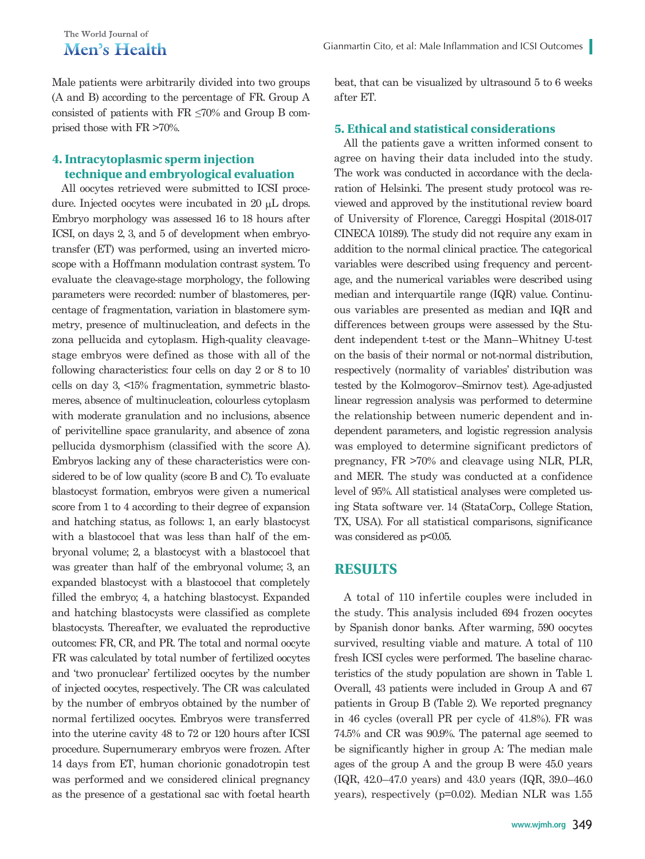# The World Iournal of Men's Health

Male patients were arbitrarily divided into two groups (A and B) according to the percentage of FR. Group A consisted of patients with  $FR \leq 70\%$  and Group B comprised those with FR >70%.

# **4. Intracytoplasmic sperm injection technique and embryological evaluation**

All oocytes retrieved were submitted to ICSI procedure. Injected oocytes were incubated in 20 µL drops. Embryo morphology was assessed 16 to 18 hours after ICSI, on days 2, 3, and 5 of development when embryotransfer (ET) was performed, using an inverted microscope with a Hoffmann modulation contrast system. To evaluate the cleavage-stage morphology, the following parameters were recorded: number of blastomeres, percentage of fragmentation, variation in blastomere symmetry, presence of multinucleation, and defects in the zona pellucida and cytoplasm. High-quality cleavagestage embryos were defined as those with all of the following characteristics: four cells on day 2 or 8 to 10 cells on day 3, <15% fragmentation, symmetric blastomeres, absence of multinucleation, colourless cytoplasm with moderate granulation and no inclusions, absence of perivitelline space granularity, and absence of zona pellucida dysmorphism (classified with the score A). Embryos lacking any of these characteristics were considered to be of low quality (score B and C). To evaluate blastocyst formation, embryos were given a numerical score from 1 to 4 according to their degree of expansion and hatching status, as follows: 1, an early blastocyst with a blastocoel that was less than half of the embryonal volume; 2, a blastocyst with a blastocoel that was greater than half of the embryonal volume; 3, an expanded blastocyst with a blastocoel that completely filled the embryo; 4, a hatching blastocyst. Expanded and hatching blastocysts were classified as complete blastocysts. Thereafter, we evaluated the reproductive outcomes: FR, CR, and PR. The total and normal oocyte FR was calculated by total number of fertilized oocytes and 'two pronuclear' fertilized oocytes by the number of injected oocytes, respectively. The CR was calculated by the number of embryos obtained by the number of normal fertilized oocytes. Embryos were transferred into the uterine cavity 48 to 72 or 120 hours after ICSI procedure. Supernumerary embryos were frozen. After 14 days from ET, human chorionic gonadotropin test was performed and we considered clinical pregnancy as the presence of a gestational sac with foetal hearth beat, that can be visualized by ultrasound 5 to 6 weeks after ET.

#### **5. Ethical and statistical considerations**

All the patients gave a written informed consent to agree on having their data included into the study. The work was conducted in accordance with the declaration of Helsinki. The present study protocol was reviewed and approved by the institutional review board of University of Florence, Careggi Hospital (2018-017 CINECA 10189). The study did not require any exam in addition to the normal clinical practice. The categorical variables were described using frequency and percentage, and the numerical variables were described using median and interquartile range (IQR) value. Continuous variables are presented as median and IQR and differences between groups were assessed by the Student independent t-test or the Mann–Whitney U-test on the basis of their normal or not-normal distribution, respectively (normality of variables' distribution was tested by the Kolmogorov–Smirnov test). Age-adjusted linear regression analysis was performed to determine the relationship between numeric dependent and independent parameters, and logistic regression analysis was employed to determine significant predictors of pregnancy, FR >70% and cleavage using NLR, PLR, and MER. The study was conducted at a confidence level of 95%. All statistical analyses were completed using Stata software ver. 14 (StataCorp., College Station, TX, USA). For all statistical comparisons, significance was considered as  $p<0.05$ .

# **RESULTS**

A total of 110 infertile couples were included in the study. This analysis included 694 frozen oocytes by Spanish donor banks. After warming, 590 oocytes survived, resulting viable and mature. A total of 110 fresh ICSI cycles were performed. The baseline characteristics of the study population are shown in Table 1. Overall, 43 patients were included in Group A and 67 patients in Group B (Table 2). We reported pregnancy in 46 cycles (overall PR per cycle of 41.8%). FR was 74.5% and CR was 90.9%. The paternal age seemed to be significantly higher in group A: The median male ages of the group A and the group B were 45.0 years (IQR, 42.0–47.0 years) and 43.0 years (IQR, 39.0–46.0 years), respectively (p=0.02). Median NLR was 1.55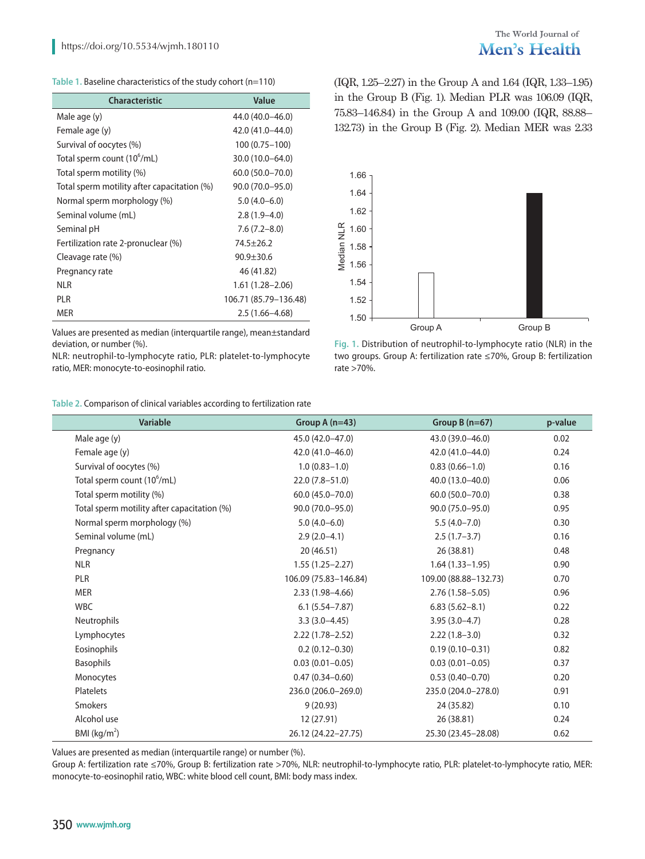#### **Table 1.** Baseline characteristics of the study cohort (n=110)

| <b>Characteristic</b>                       | Value                 |
|---------------------------------------------|-----------------------|
| Male age (y)                                | 44.0 (40.0–46.0)      |
| Female age (y)                              | 42.0 (41.0–44.0)      |
| Survival of oocytes (%)                     | $100(0.75 - 100)$     |
| Total sperm count (10 <sup>o</sup> /mL)     | 30.0 (10.0-64.0)      |
| Total sperm motility (%)                    | $60.0(50.0 - 70.0)$   |
| Total sperm motility after capacitation (%) | 90.0 (70.0–95.0)      |
| Normal sperm morphology (%)                 | $5.0(4.0 - 6.0)$      |
| Seminal volume (mL)                         | $2.8(1.9-4.0)$        |
| Seminal pH                                  | $7.6(7.2 - 8.0)$      |
| Fertilization rate 2-pronuclear (%)         | $74.5 + 26.2$         |
| Cleavage rate (%)                           | $90.9 + 30.6$         |
| Pregnancy rate                              | 46 (41.82)            |
| NLR                                         | $1.61(1.28 - 2.06)$   |
| PLR                                         | 106.71 (85.79–136.48) |
| mer                                         | $2.5(1.66 - 4.68)$    |

Values are presented as median (interquartile range), mean±standard deviation, or number (%).

NLR: neutrophil-to-lymphocyte ratio, PLR: platelet-to-lymphocyte ratio, MER: monocyte-to-eosinophil ratio.

#### **Table 2.** Comparison of clinical variables according to fertilization rate

(IQR, 1.25–2.27) in the Group A and 1.64 (IQR, 1.33–1.95) in the Group B (Fig. 1). Median PLR was 106.09 (IQR, 75.83–146.84) in the Group A and 109.00 (IQR, 88.88– 132.73) in the Group B (Fig. 2). Median MER was 2.33



**Fig. 1.** Distribution of neutrophil-to-lymphocyte ratio (NLR) in the two groups. Group A: fertilization rate ≤70%, Group B: fertilization rate >70%.

| Variable                                    | Group A $(n=43)$      | Group $B(n=67)$       | p-value |
|---------------------------------------------|-----------------------|-----------------------|---------|
| Male age (y)                                | 45.0 (42.0-47.0)      | 43.0 (39.0-46.0)      | 0.02    |
| Female age (y)                              | 42.0 (41.0-46.0)      | 42.0 (41.0-44.0)      | 0.24    |
| Survival of oocytes (%)                     | $1.0(0.83 - 1.0)$     | $0.83(0.66 - 1.0)$    | 0.16    |
| Total sperm count (10 <sup>6</sup> /mL)     | $22.0(7.8 - 51.0)$    | 40.0 (13.0-40.0)      | 0.06    |
| Total sperm motility (%)                    | $60.0(45.0 - 70.0)$   | $60.0(50.0 - 70.0)$   | 0.38    |
| Total sperm motility after capacitation (%) | 90.0 (70.0-95.0)      | 90.0 (75.0-95.0)      | 0.95    |
| Normal sperm morphology (%)                 | $5.0(4.0-6.0)$        | $5.5(4.0 - 7.0)$      | 0.30    |
| Seminal volume (mL)                         | $2.9(2.0-4.1)$        | $2.5(1.7-3.7)$        | 0.16    |
| Pregnancy                                   | 20 (46.51)            | 26 (38.81)            | 0.48    |
| <b>NLR</b>                                  | $1.55(1.25 - 2.27)$   | $1.64(1.33 - 1.95)$   | 0.90    |
| <b>PLR</b>                                  | 106.09 (75.83-146.84) | 109.00 (88.88-132.73) | 0.70    |
| <b>MER</b>                                  | $2.33(1.98 - 4.66)$   | $2.76(1.58 - 5.05)$   | 0.96    |
| <b>WBC</b>                                  | $6.1(5.54 - 7.87)$    | $6.83(5.62 - 8.1)$    | 0.22    |
| <b>Neutrophils</b>                          | $3.3(3.0-4.45)$       | $3.95(3.0-4.7)$       | 0.28    |
| Lymphocytes                                 | $2.22(1.78 - 2.52)$   | $2.22(1.8-3.0)$       | 0.32    |
| Eosinophils                                 | $0.2(0.12 - 0.30)$    | $0.19(0.10 - 0.31)$   | 0.82    |
| <b>Basophils</b>                            | $0.03(0.01 - 0.05)$   | $0.03(0.01 - 0.05)$   | 0.37    |
| Monocytes                                   | $0.47(0.34 - 0.60)$   | $0.53(0.40 - 0.70)$   | 0.20    |
| Platelets                                   | 236.0 (206.0-269.0)   | 235.0 (204.0-278.0)   | 0.91    |
| <b>Smokers</b>                              | 9(20.93)              | 24 (35.82)            | 0.10    |
| Alcohol use                                 | 12 (27.91)            | 26 (38.81)            | 0.24    |
| BMI ( $kg/m2$ )                             | 26.12 (24.22-27.75)   | 25.30 (23.45 - 28.08) | 0.62    |

Values are presented as median (interquartile range) or number (%).

Group A: fertilization rate ≤70%, Group B: fertilization rate >70%, NLR: neutrophil-to-lymphocyte ratio, PLR: platelet-to-lymphocyte ratio, MER: monocyte-to-eosinophil ratio, WBC: white blood cell count, BMI: body mass index.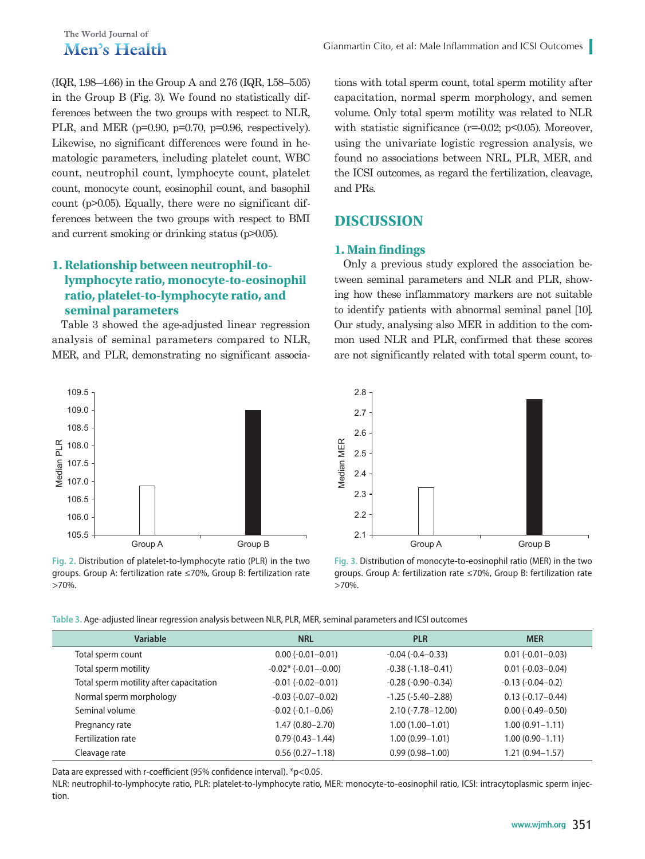# The World Journal of Men's Health

(IQR, 1.98–4.66) in the Group A and 2.76 (IQR, 1.58–5.05) in the Group B (Fig. 3). We found no statistically differences between the two groups with respect to NLR, PLR, and MER (p=0.90, p=0.70, p=0.96, respectively). Likewise, no significant differences were found in hematologic parameters, including platelet count, WBC count, neutrophil count, lymphocyte count, platelet count, monocyte count, eosinophil count, and basophil count (p>0.05). Equally, there were no significant differences between the two groups with respect to BMI and current smoking or drinking status (p>0.05).

# **1. Relationship between neutrophil-tolymphocyte ratio, monocyte-to-eosinophil ratio, platelet-to-lymphocyte ratio, and seminal parameters**

Table 3 showed the age-adjusted linear regression analysis of seminal parameters compared to NLR, MER, and PLR, demonstrating no significant associa-



**Fig. 2.** Distribution of platelet-to-lymphocyte ratio (PLR) in the two groups. Group A: fertilization rate ≤70%, Group B: fertilization rate >70%.

tions with total sperm count, total sperm motility after capacitation, normal sperm morphology, and semen volume. Only total sperm motility was related to NLR with statistic significance ( $r=0.02$ ;  $p<0.05$ ). Moreover, using the univariate logistic regression analysis, we found no associations between NRL, PLR, MER, and the ICSI outcomes, as regard the fertilization, cleavage, and PRs.

# **DISCUSSION**

#### **1. Main findings**

Only a previous study explored the association between seminal parameters and NLR and PLR, showing how these inflammatory markers are not suitable to identify patients with abnormal seminal panel [10]. Our study, analysing also MER in addition to the common used NLR and PLR, confirmed that these scores are not significantly related with total sperm count, to-



**Fig. 3.** Distribution of monocyte-to-eosinophil ratio (MER) in the two groups. Group A: fertilization rate ≤70%, Group B: fertilization rate >70%.

| Table 3. Age-adjusted linear regression analysis between NLR, PLR, MER, seminal parameters and ICSI outcomes |  |  |  |  |  |
|--------------------------------------------------------------------------------------------------------------|--|--|--|--|--|
|--------------------------------------------------------------------------------------------------------------|--|--|--|--|--|

| <b>Variable</b>                         | <b>NRL</b>                   | <b>PLR</b>            | <b>MER</b>           |
|-----------------------------------------|------------------------------|-----------------------|----------------------|
| Total sperm count                       | $0.00 (-0.01 - 0.01)$        | $-0.04(-0.4-0.33)$    | $0.01(-0.01-0.03)$   |
| Total sperm motility                    | $-0.02$ * ( $-0.01 - 0.00$ ) | $-0.38(-1.18-0.41)$   | $0.01(-0.03 - 0.04)$ |
| Total sperm motility after capacitation | $-0.01(-0.02-0.01)$          | $-0.28(-0.90-0.34)$   | $-0.13(-0.04-0.2)$   |
| Normal sperm morphology                 | $-0.03$ $(-0.07 - 0.02)$     | $-1.25(-5.40-2.88)$   | $0.13(-0.17-0.44)$   |
| Seminal volume                          | $-0.02$ $(-0.1 - 0.06)$      | $2.10(-7.78 - 12.00)$ | $0.00(-0.49 - 0.50)$ |
| Pregnancy rate                          | $1.47(0.80 - 2.70)$          | $1.00(1.00 - 1.01)$   | $1.00(0.91 - 1.11)$  |
| Fertilization rate                      | $0.79(0.43 - 1.44)$          | $1.00(0.99 - 1.01)$   | $1.00(0.90 - 1.11)$  |
| Cleavage rate                           | $0.56(0.27 - 1.18)$          | $0.99(0.98 - 1.00)$   | 1.21 (0.94-1.57)     |

Data are expressed with r-coefficient (95% confidence interval). \*p<0.05.

NLR: neutrophil-to-lymphocyte ratio, PLR: platelet-to-lymphocyte ratio, MER: monocyte-to-eosinophil ratio, ICSI: intracytoplasmic sperm injection.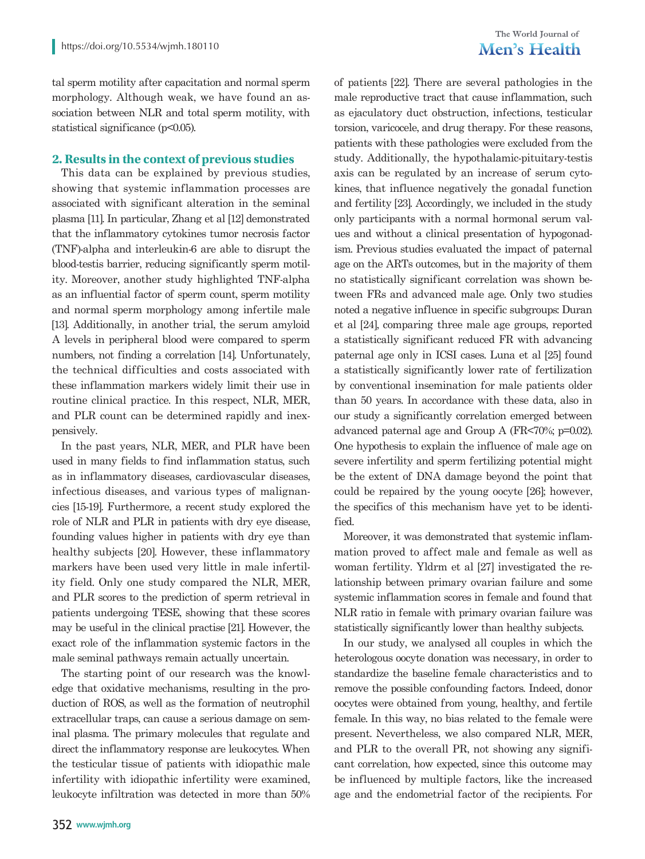# The World Journal of Men's Health

tal sperm motility after capacitation and normal sperm morphology. Although weak, we have found an association between NLR and total sperm motility, with statistical significance (p<0.05).

# **2. Results in the context of previous studies**

This data can be explained by previous studies, showing that systemic inflammation processes are associated with significant alteration in the seminal plasma [11]. In particular, Zhang et al [12] demonstrated that the inflammatory cytokines tumor necrosis factor (TNF)-alpha and interleukin-6 are able to disrupt the blood-testis barrier, reducing significantly sperm motility. Moreover, another study highlighted TNF-alpha as an influential factor of sperm count, sperm motility and normal sperm morphology among infertile male [13]. Additionally, in another trial, the serum amyloid A levels in peripheral blood were compared to sperm numbers, not finding a correlation [14]. Unfortunately, the technical difficulties and costs associated with these inflammation markers widely limit their use in routine clinical practice. In this respect, NLR, MER, and PLR count can be determined rapidly and inexpensively.

In the past years, NLR, MER, and PLR have been used in many fields to find inflammation status, such as in inflammatory diseases, cardiovascular diseases, infectious diseases, and various types of malignancies [15-19]. Furthermore, a recent study explored the role of NLR and PLR in patients with dry eye disease, founding values higher in patients with dry eye than healthy subjects [20]. However, these inflammatory markers have been used very little in male infertility field. Only one study compared the NLR, MER, and PLR scores to the prediction of sperm retrieval in patients undergoing TESE, showing that these scores may be useful in the clinical practise [21]. However, the exact role of the inflammation systemic factors in the male seminal pathways remain actually uncertain.

The starting point of our research was the knowledge that oxidative mechanisms, resulting in the production of ROS, as well as the formation of neutrophil extracellular traps, can cause a serious damage on seminal plasma. The primary molecules that regulate and direct the inflammatory response are leukocytes. When the testicular tissue of patients with idiopathic male infertility with idiopathic infertility were examined, leukocyte infiltration was detected in more than 50% of patients [22]. There are several pathologies in the male reproductive tract that cause inflammation, such as ejaculatory duct obstruction, infections, testicular torsion, varicocele, and drug therapy. For these reasons, patients with these pathologies were excluded from the study. Additionally, the hypothalamic-pituitary-testis axis can be regulated by an increase of serum cytokines, that influence negatively the gonadal function and fertility [23]. Accordingly, we included in the study only participants with a normal hormonal serum values and without a clinical presentation of hypogonadism. Previous studies evaluated the impact of paternal age on the ARTs outcomes, but in the majority of them no statistically significant correlation was shown between FRs and advanced male age. Only two studies noted a negative influence in specific subgroups: Duran et al [24], comparing three male age groups, reported a statistically significant reduced FR with advancing paternal age only in ICSI cases. Luna et al [25] found a statistically significantly lower rate of fertilization by conventional insemination for male patients older than 50 years. In accordance with these data, also in our study a significantly correlation emerged between advanced paternal age and Group A (FR<70%; p=0.02). One hypothesis to explain the influence of male age on severe infertility and sperm fertilizing potential might be the extent of DNA damage beyond the point that could be repaired by the young oocyte [26]; however, the specifics of this mechanism have yet to be identified.

Moreover, it was demonstrated that systemic inflammation proved to affect male and female as well as woman fertility. Yldrm et al [27] investigated the relationship between primary ovarian failure and some systemic inflammation scores in female and found that NLR ratio in female with primary ovarian failure was statistically significantly lower than healthy subjects.

In our study, we analysed all couples in which the heterologous oocyte donation was necessary, in order to standardize the baseline female characteristics and to remove the possible confounding factors. Indeed, donor oocytes were obtained from young, healthy, and fertile female. In this way, no bias related to the female were present. Nevertheless, we also compared NLR, MER, and PLR to the overall PR, not showing any significant correlation, how expected, since this outcome may be influenced by multiple factors, like the increased age and the endometrial factor of the recipients. For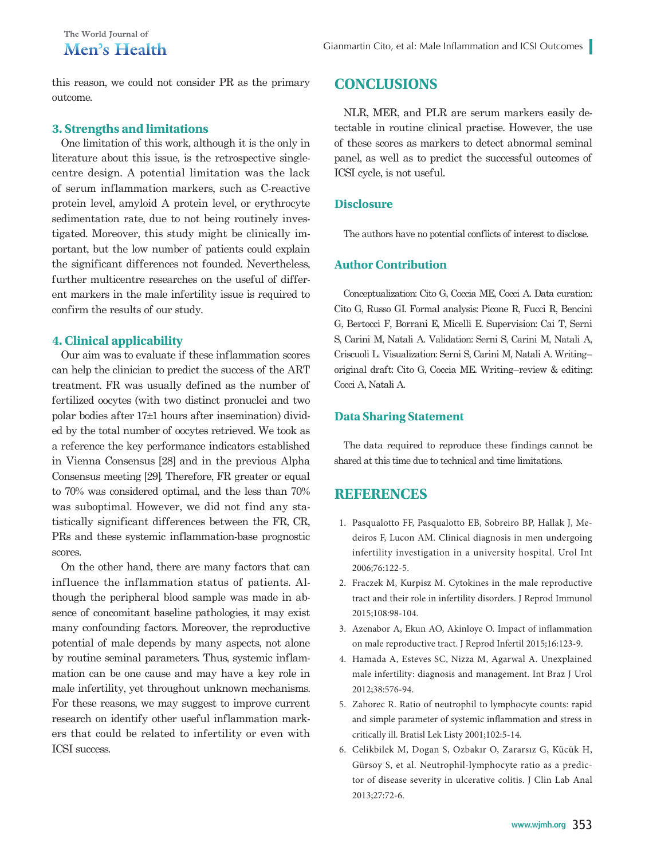this reason, we could not consider PR as the primary outcome.

#### **3. Strengths and limitations**

One limitation of this work, although it is the only in literature about this issue, is the retrospective singlecentre design. A potential limitation was the lack of serum inflammation markers, such as C-reactive protein level, amyloid A protein level, or erythrocyte sedimentation rate, due to not being routinely investigated. Moreover, this study might be clinically important, but the low number of patients could explain the significant differences not founded. Nevertheless, further multicentre researches on the useful of different markers in the male infertility issue is required to confirm the results of our study.

# **4. Clinical applicability**

Our aim was to evaluate if these inflammation scores can help the clinician to predict the success of the ART treatment. FR was usually defined as the number of fertilized oocytes (with two distinct pronuclei and two polar bodies after 17±1 hours after insemination) divided by the total number of oocytes retrieved. We took as a reference the key performance indicators established in Vienna Consensus [28] and in the previous Alpha Consensus meeting [29]. Therefore, FR greater or equal to 70% was considered optimal, and the less than 70% was suboptimal. However, we did not find any statistically significant differences between the FR, CR, PRs and these systemic inflammation-base prognostic scores.

On the other hand, there are many factors that can influence the inflammation status of patients. Although the peripheral blood sample was made in absence of concomitant baseline pathologies, it may exist many confounding factors. Moreover, the reproductive potential of male depends by many aspects, not alone by routine seminal parameters. Thus, systemic inflammation can be one cause and may have a key role in male infertility, yet throughout unknown mechanisms. For these reasons, we may suggest to improve current research on identify other useful inflammation markers that could be related to infertility or even with ICSI success.

# **CONCLUSIONS**

NLR, MER, and PLR are serum markers easily detectable in routine clinical practise. However, the use of these scores as markers to detect abnormal seminal panel, as well as to predict the successful outcomes of ICSI cycle, is not useful.

#### **Disclosure**

The authors have no potential conflicts of interest to disclose.

#### **Author Contribution**

Conceptualization: Cito G, Coccia ME, Cocci A. Data curation: Cito G, Russo GI. Formal analysis: Picone R, Fucci R, Bencini G, Bertocci F, Borrani E, Micelli E. Supervision: Cai T, Serni S, Carini M, Natali A. Validation: Serni S, Carini M, Natali A, Criscuoli L. Visualization: Serni S, Carini M, Natali A. Writing– original draft: Cito G, Coccia ME. Writing–review & editing: Cocci A, Natali A.

#### **Data Sharing Statement**

The data required to reproduce these findings cannot be shared at this time due to technical and time limitations.

# **REFERENCES**

- 1. Pasqualotto FF, Pasqualotto EB, Sobreiro BP, Hallak J, Medeiros F, Lucon AM. Clinical diagnosis in men undergoing infertility investigation in a university hospital. Urol Int 2006;76:122-5.
- 2. Fraczek M, Kurpisz M. Cytokines in the male reproductive tract and their role in infertility disorders. J Reprod Immunol 2015;108:98-104.
- 3. Azenabor A, Ekun AO, Akinloye O. Impact of inflammation on male reproductive tract. J Reprod Infertil 2015;16:123-9.
- 4. Hamada A, Esteves SC, Nizza M, Agarwal A. Unexplained male infertility: diagnosis and management. Int Braz J Urol 2012;38:576-94.
- 5. Zahorec R. Ratio of neutrophil to lymphocyte counts: rapid and simple parameter of systemic inflammation and stress in critically ill. Bratisl Lek Listy 2001;102:5-14.
- 6. Celikbilek M, Dogan S, Ozbakır O, Zararsız G, Kücük H, Gürsoy S, et al. Neutrophil-lymphocyte ratio as a predictor of disease severity in ulcerative colitis. J Clin Lab Anal 2013;27:72-6.